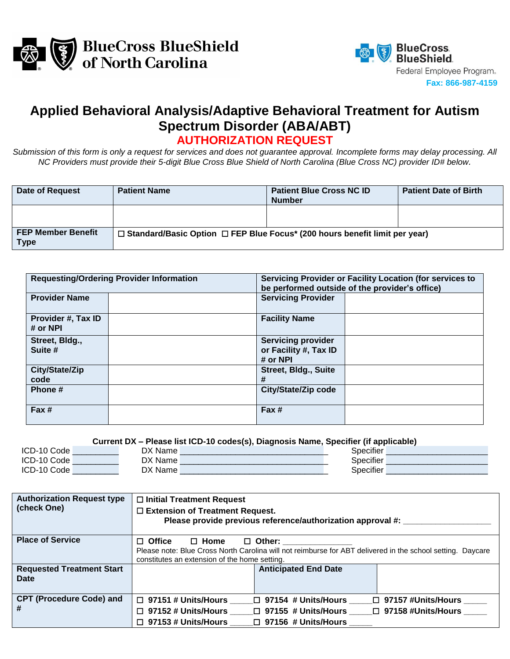



## **Applied Behavioral Analysis/Adaptive Behavioral Treatment for Autism Spectrum Disorder (ABA/ABT)**

**AUTHORIZATION REQUEST**

*Submission of this form is only a request for services and does not guarantee approval. Incomplete forms may delay processing. All NC Providers must provide their 5-digit Blue Cross Blue Shield of North Carolina (Blue Cross NC) provider ID# below.*

| Date of Request                          | <b>Patient Name</b>                                                                                | <b>Patient Blue Cross NC ID</b><br><b>Number</b> | <b>Patient Date of Birth</b> |
|------------------------------------------|----------------------------------------------------------------------------------------------------|--------------------------------------------------|------------------------------|
|                                          |                                                                                                    |                                                  |                              |
| <b>FEP Member Benefit</b><br><b>Type</b> | $\Box$ Standard/Basic Option $\Box$ FEP Blue Focus <sup>*</sup> (200 hours benefit limit per year) |                                                  |                              |

|                                | <b>Requesting/Ordering Provider Information</b> | Servicing Provider or Facility Location (for services to<br>be performed outside of the provider's office) |  |  |
|--------------------------------|-------------------------------------------------|------------------------------------------------------------------------------------------------------------|--|--|
| <b>Provider Name</b>           |                                                 | <b>Servicing Provider</b>                                                                                  |  |  |
| Provider #, Tax ID<br># or NPI |                                                 | <b>Facility Name</b>                                                                                       |  |  |
| Street, Bldg.,<br>Suite #      |                                                 | <b>Servicing provider</b><br>or Facility #, Tax ID<br># or NPI                                             |  |  |
| City/State/Zip<br>code         |                                                 | <b>Street, Bldg., Suite</b><br>#                                                                           |  |  |
| Phone #                        |                                                 | City/State/Zip code                                                                                        |  |  |
| Fax#                           |                                                 | Fax#                                                                                                       |  |  |

**Current DX – Please list ICD-10 codes(s), Diagnosis Name, Specifier (if applicable)**

| <b>ICD</b><br>Code:        | ١v<br>Name.       | ____<br>.<br>Specifier |  |
|----------------------------|-------------------|------------------------|--|
| <b>ICD</b><br>10 v<br>Code | 'Name<br>١v       | $\cdots$<br>Specifie.  |  |
| <b>ICD</b><br>. 10<br>∴ode | DX<br><b>Name</b> | .<br>Specifiel         |  |

| <b>Authorization Request type</b><br>(check One) | $\Box$ Initial Treatment Request<br>$\square$ Extension of Treatment Request.<br>Please provide previous reference/authorization approval #: |  |  |  |  |
|--------------------------------------------------|----------------------------------------------------------------------------------------------------------------------------------------------|--|--|--|--|
| <b>Place of Service</b>                          | $\Box$ Office<br>$\Box$ Home<br>$\Box$ Other:                                                                                                |  |  |  |  |
|                                                  | Please note: Blue Cross North Carolina will not reimburse for ABT delivered in the school setting. Daycare                                   |  |  |  |  |
|                                                  | constitutes an extension of the home setting.                                                                                                |  |  |  |  |
| <b>Requested Treatment Start</b>                 | <b>Anticipated End Date</b>                                                                                                                  |  |  |  |  |
| Date                                             |                                                                                                                                              |  |  |  |  |
|                                                  |                                                                                                                                              |  |  |  |  |
| <b>CPT (Procedure Code) and</b>                  | $\Box$ 97151 # Units/Hours<br>$\Box$ 97157 #Units/Hours<br>$\Box$ 97154 # Units/Hours                                                        |  |  |  |  |
|                                                  | $\Box$ 97152 # Units/Hours<br>□ 97155 # Units/Hours<br>□ 97158 #Units/Hours                                                                  |  |  |  |  |
|                                                  | $\Box$ 97153 # Units/Hours<br>$\Box$ 97156 # Units/Hours                                                                                     |  |  |  |  |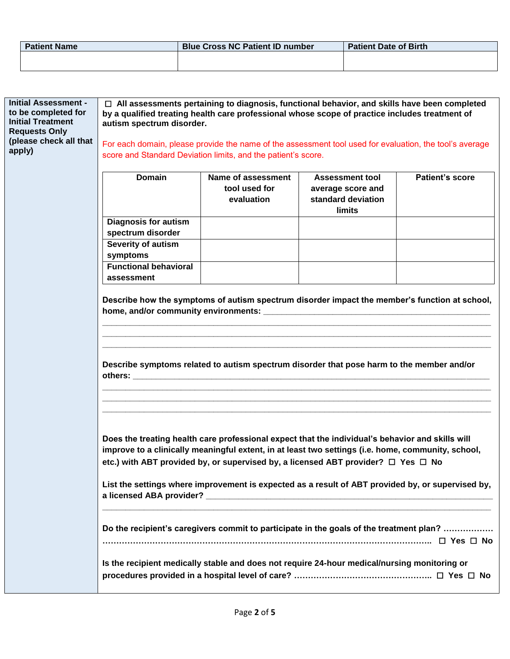| <b>Patient Name</b> | <b>Blue Cross NC Patient ID number</b> | <b>Patient Date of Birth</b> |
|---------------------|----------------------------------------|------------------------------|
|                     |                                        |                              |
|                     |                                        |                              |

| <b>Initial Assessment -</b><br>to be completed for<br><b>Initial Treatment</b><br><b>Requests Only</b><br>(please check all that<br>apply) | $\Box$ All assessments pertaining to diagnosis, functional behavior, and skills have been completed<br>by a qualified treating health care professional whose scope of practice includes treatment of<br>autism spectrum disorder.<br>For each domain, please provide the name of the assessment tool used for evaluation, the tool's average<br>score and Standard Deviation limits, and the patient's score. |                                                                                              |                                                          |                        |  |  |
|--------------------------------------------------------------------------------------------------------------------------------------------|----------------------------------------------------------------------------------------------------------------------------------------------------------------------------------------------------------------------------------------------------------------------------------------------------------------------------------------------------------------------------------------------------------------|----------------------------------------------------------------------------------------------|----------------------------------------------------------|------------------------|--|--|
|                                                                                                                                            | <b>Domain</b>                                                                                                                                                                                                                                                                                                                                                                                                  | Name of assessment                                                                           | <b>Assessment tool</b>                                   | <b>Patient's score</b> |  |  |
|                                                                                                                                            |                                                                                                                                                                                                                                                                                                                                                                                                                | tool used for<br>evaluation                                                                  | average score and<br>standard deviation<br><b>limits</b> |                        |  |  |
|                                                                                                                                            | <b>Diagnosis for autism</b>                                                                                                                                                                                                                                                                                                                                                                                    |                                                                                              |                                                          |                        |  |  |
|                                                                                                                                            | spectrum disorder                                                                                                                                                                                                                                                                                                                                                                                              |                                                                                              |                                                          |                        |  |  |
|                                                                                                                                            | Severity of autism                                                                                                                                                                                                                                                                                                                                                                                             |                                                                                              |                                                          |                        |  |  |
|                                                                                                                                            | symptoms<br><b>Functional behavioral</b>                                                                                                                                                                                                                                                                                                                                                                       |                                                                                              |                                                          |                        |  |  |
|                                                                                                                                            | assessment                                                                                                                                                                                                                                                                                                                                                                                                     |                                                                                              |                                                          |                        |  |  |
|                                                                                                                                            | Describe symptoms related to autism spectrum disorder that pose harm to the member and/or                                                                                                                                                                                                                                                                                                                      |                                                                                              |                                                          |                        |  |  |
|                                                                                                                                            | Does the treating health care professional expect that the individual's behavior and skills will<br>improve to a clinically meaningful extent, in at least two settings (i.e. home, community, school,<br>etc.) with ABT provided by, or supervised by, a licensed ABT provider? □ Yes □ No<br>List the settings where improvement is expected as a result of ABT provided by, or supervised by,               |                                                                                              |                                                          |                        |  |  |
|                                                                                                                                            |                                                                                                                                                                                                                                                                                                                                                                                                                | Do the recipient's caregivers commit to participate in the goals of the treatment plan?      |                                                          |                        |  |  |
|                                                                                                                                            |                                                                                                                                                                                                                                                                                                                                                                                                                | Is the recipient medically stable and does not require 24-hour medical/nursing monitoring or |                                                          |                        |  |  |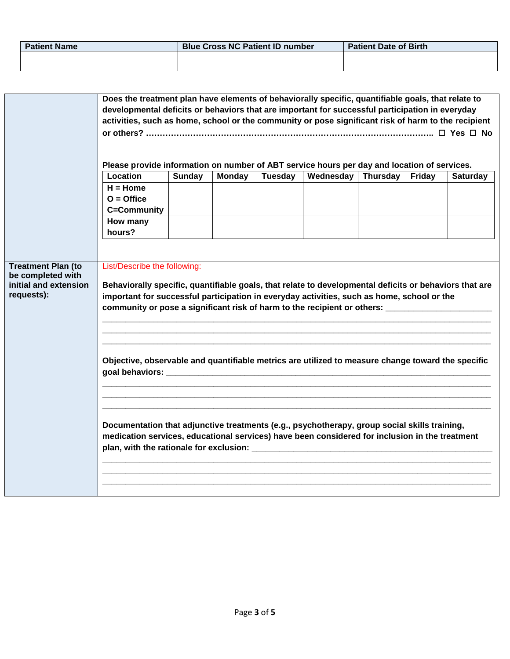| <b>Patient Name</b> | <b>Blue Cross NC Patient ID number</b> | <b>Patient Date of Birth</b> |
|---------------------|----------------------------------------|------------------------------|
|                     |                                        |                              |
|                     |                                        |                              |

|                                                | Does the treatment plan have elements of behaviorally specific, quantifiable goals, that relate to                                                                                                                                                                                                                                 |               |               |         |                  |          |        |                 |
|------------------------------------------------|------------------------------------------------------------------------------------------------------------------------------------------------------------------------------------------------------------------------------------------------------------------------------------------------------------------------------------|---------------|---------------|---------|------------------|----------|--------|-----------------|
|                                                | developmental deficits or behaviors that are important for successful participation in everyday                                                                                                                                                                                                                                    |               |               |         |                  |          |        |                 |
|                                                | activities, such as home, school or the community or pose significant risk of harm to the recipient                                                                                                                                                                                                                                |               |               |         |                  |          |        |                 |
|                                                |                                                                                                                                                                                                                                                                                                                                    |               |               |         |                  |          |        |                 |
|                                                |                                                                                                                                                                                                                                                                                                                                    |               |               |         |                  |          |        |                 |
|                                                |                                                                                                                                                                                                                                                                                                                                    |               |               |         |                  |          |        |                 |
|                                                | Please provide information on number of ABT service hours per day and location of services.                                                                                                                                                                                                                                        |               |               |         |                  |          |        |                 |
|                                                | Location                                                                                                                                                                                                                                                                                                                           | <b>Sunday</b> | <b>Monday</b> | Tuesday | <b>Wednesday</b> | Thursday | Friday | <b>Saturday</b> |
|                                                | $H =$ Home                                                                                                                                                                                                                                                                                                                         |               |               |         |                  |          |        |                 |
|                                                | $O =$ Office                                                                                                                                                                                                                                                                                                                       |               |               |         |                  |          |        |                 |
|                                                | C=Community                                                                                                                                                                                                                                                                                                                        |               |               |         |                  |          |        |                 |
|                                                | How many                                                                                                                                                                                                                                                                                                                           |               |               |         |                  |          |        |                 |
|                                                | hours?                                                                                                                                                                                                                                                                                                                             |               |               |         |                  |          |        |                 |
|                                                |                                                                                                                                                                                                                                                                                                                                    |               |               |         |                  |          |        |                 |
|                                                |                                                                                                                                                                                                                                                                                                                                    |               |               |         |                  |          |        |                 |
| <b>Treatment Plan (to</b><br>be completed with | List/Describe the following:                                                                                                                                                                                                                                                                                                       |               |               |         |                  |          |        |                 |
| initial and extension                          | Behaviorally specific, quantifiable goals, that relate to developmental deficits or behaviors that are                                                                                                                                                                                                                             |               |               |         |                  |          |        |                 |
| requests):                                     |                                                                                                                                                                                                                                                                                                                                    |               |               |         |                  |          |        |                 |
|                                                | important for successful participation in everyday activities, such as home, school or the<br>community or pose a significant risk of harm to the recipient or others: __________________________                                                                                                                                  |               |               |         |                  |          |        |                 |
|                                                |                                                                                                                                                                                                                                                                                                                                    |               |               |         |                  |          |        |                 |
|                                                |                                                                                                                                                                                                                                                                                                                                    |               |               |         |                  |          |        |                 |
|                                                |                                                                                                                                                                                                                                                                                                                                    |               |               |         |                  |          |        |                 |
|                                                |                                                                                                                                                                                                                                                                                                                                    |               |               |         |                  |          |        |                 |
|                                                | Objective, observable and quantifiable metrics are utilized to measure change toward the specific<br>goal behaviors: experience of the state of the state of the state of the state of the state of the state of the state of the state of the state of the state of the state of the state of the state of the state of the state |               |               |         |                  |          |        |                 |
|                                                |                                                                                                                                                                                                                                                                                                                                    |               |               |         |                  |          |        |                 |
|                                                |                                                                                                                                                                                                                                                                                                                                    |               |               |         |                  |          |        |                 |
|                                                |                                                                                                                                                                                                                                                                                                                                    |               |               |         |                  |          |        |                 |
|                                                |                                                                                                                                                                                                                                                                                                                                    |               |               |         |                  |          |        |                 |
|                                                | Documentation that adjunctive treatments (e.g., psychotherapy, group social skills training,                                                                                                                                                                                                                                       |               |               |         |                  |          |        |                 |
|                                                | medication services, educational services) have been considered for inclusion in the treatment                                                                                                                                                                                                                                     |               |               |         |                  |          |        |                 |
|                                                |                                                                                                                                                                                                                                                                                                                                    |               |               |         |                  |          |        |                 |
|                                                |                                                                                                                                                                                                                                                                                                                                    |               |               |         |                  |          |        |                 |
|                                                |                                                                                                                                                                                                                                                                                                                                    |               |               |         |                  |          |        |                 |
|                                                |                                                                                                                                                                                                                                                                                                                                    |               |               |         |                  |          |        |                 |
|                                                |                                                                                                                                                                                                                                                                                                                                    |               |               |         |                  |          |        |                 |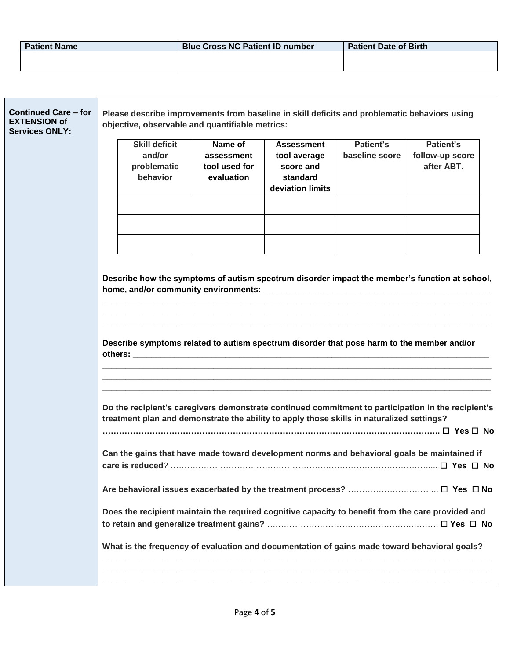| <b>Patient Name</b> | <b>Blue Cross NC Patient ID number</b> | <b>Patient Date of Birth</b> |
|---------------------|----------------------------------------|------------------------------|
|                     |                                        |                              |
|                     |                                        |                              |

| <b>Continued Care - for</b><br><b>EXTENSION of</b><br><b>Services ONLY:</b> | <b>Skill deficit</b><br>and/or<br>problematic<br>behavior | objective, observable and quantifiable metrics:<br>Name of<br>assessment<br>tool used for<br>evaluation | Please describe improvements from baseline in skill deficits and problematic behaviors using<br><b>Assessment</b><br>tool average<br>score and<br>standard<br>deviation limits         | <b>Patient's</b><br>baseline score | Patient's<br>follow-up score<br>after ABT.                                                                                                                                                                                                                                                       |
|-----------------------------------------------------------------------------|-----------------------------------------------------------|---------------------------------------------------------------------------------------------------------|----------------------------------------------------------------------------------------------------------------------------------------------------------------------------------------|------------------------------------|--------------------------------------------------------------------------------------------------------------------------------------------------------------------------------------------------------------------------------------------------------------------------------------------------|
|                                                                             |                                                           |                                                                                                         |                                                                                                                                                                                        |                                    | Describe how the symptoms of autism spectrum disorder impact the member's function at school,                                                                                                                                                                                                    |
|                                                                             |                                                           |                                                                                                         | Describe symptoms related to autism spectrum disorder that pose harm to the member and/or<br>treatment plan and demonstrate the ability to apply those skills in naturalized settings? |                                    | Do the recipient's caregivers demonstrate continued commitment to participation in the recipient's                                                                                                                                                                                               |
|                                                                             |                                                           |                                                                                                         |                                                                                                                                                                                        |                                    | Can the gains that have made toward development norms and behavioral goals be maintained if<br>Does the recipient maintain the required cognitive capacity to benefit from the care provided and<br>What is the frequency of evaluation and documentation of gains made toward behavioral goals? |